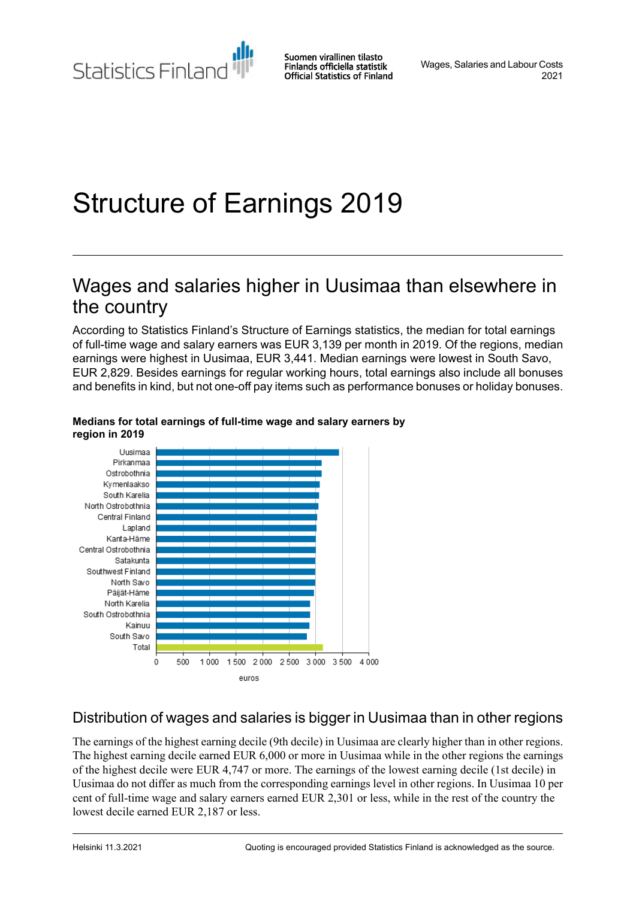Suomen virallinen tilasto Finlands officiella statistik **Official Statistics of Finland** 

Wages, Salaries and Labour Costs 2021

# Structure of Earnings 2019

## Wages and salaries higher in Uusimaa than elsewhere in the country

According to Statistics Finland's Structure of Earnings statistics, the median for total earnings of full-time wage and salary earners was EUR 3,139 per month in 2019. Of the regions, median earnings were highest in Uusimaa, EUR 3,441. Median earnings were lowest in South Savo, EUR 2,829. Besides earnings for regular working hours, total earnings also include all bonuses and benefits in kind, but not one-off pay items such as performance bonuses or holiday bonuses.



### **Medians for total earnings of full-time wage and salary earners by region in 2019**

### Distribution of wages and salaries is bigger in Uusimaa than in other regions

The earnings of the highest earning decile (9th decile) in Uusimaa are clearly higher than in other regions. The highest earning decile earned EUR 6,000 or more in Uusimaa while in the other regions the earnings of the highest decile were EUR 4,747 or more. The earnings of the lowest earning decile (1st decile) in Uusimaa do not differ as much from the corresponding earnings level in other regions. In Uusimaa 10 per cent of full-time wage and salary earners earned EUR 2,301 or less, while in the rest of the country the lowest decile earned EUR 2,187 or less.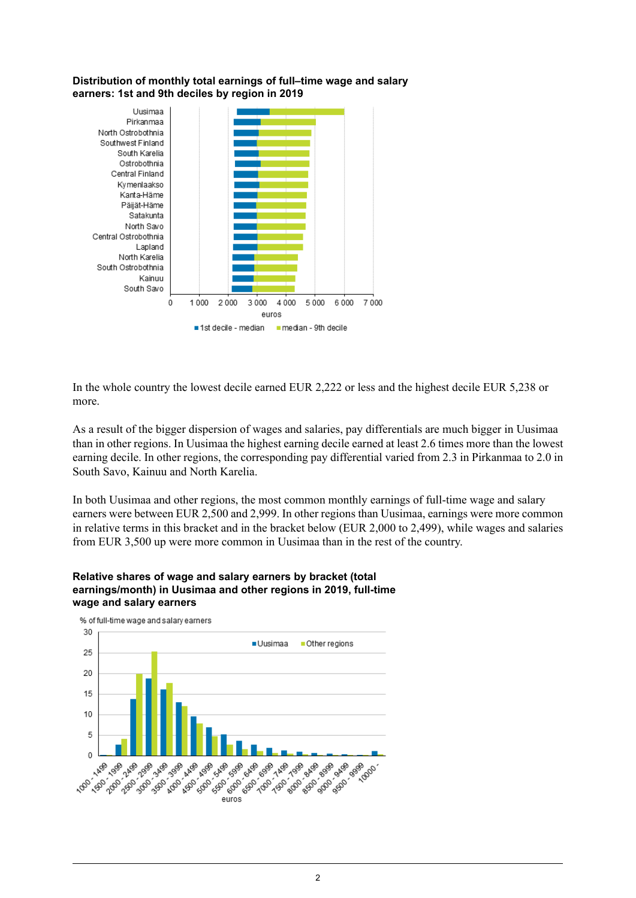#### **Distribution of monthly total earnings of full–time wage and salary earners: 1st and 9th deciles by region in 2019**



In the whole country the lowest decile earned EUR 2,222 or less and the highest decile EUR 5,238 or more.

As a result of the bigger dispersion of wages and salaries, pay differentials are much bigger in Uusimaa than in other regions. In Uusimaa the highest earning decile earned at least 2.6 times more than the lowest earning decile. In other regions, the corresponding pay differential varied from 2.3 in Pirkanmaa to 2.0 in South Savo, Kainuu and North Karelia.

In both Uusimaa and other regions, the most common monthly earnings of full-time wage and salary earners were between EUR 2,500 and 2,999. In other regions than Uusimaa, earnings were more common in relative terms in this bracket and in the bracket below (EUR 2,000 to 2,499), while wages and salaries from EUR 3,500 up were more common in Uusimaa than in the rest of the country.

### **Relative shares of wage and salary earners by bracket (total earnings/month) in Uusimaa and other regions in 2019, full-time wage and salary earners**

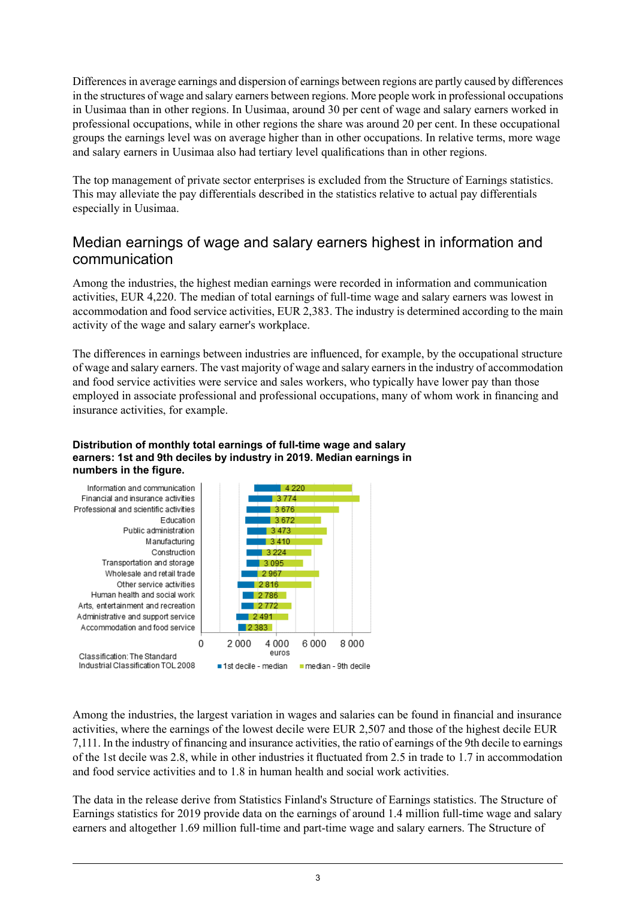Differencesin average earnings and dispersion of earnings between regions are partly caused by differences in the structures of wage and salary earners between regions. More people work in professional occupations in Uusimaa than in other regions. In Uusimaa, around 30 per cent of wage and salary earners worked in professional occupations, while in other regions the share was around 20 per cent. In these occupational groups the earnings level was on average higher than in other occupations. In relative terms, more wage and salary earners in Uusimaa also had tertiary level qualifications than in other regions.

The top management of private sector enterprises is excluded from the Structure of Earnings statistics. This may alleviate the pay differentials described in the statistics relative to actual pay differentials especially in Uusimaa.

### Median earnings of wage and salary earners highest in information and communication

Among the industries, the highest median earnings were recorded in information and communication activities, EUR 4,220. The median of total earnings of full-time wage and salary earners was lowest in accommodation and food service activities, EUR 2,383. The industry is determined according to the main activity of the wage and salary earner's workplace.

The differences in earnings between industries are influenced, for example, by the occupational structure of wage and salary earners. The vast majority of wage and salary earnersin the industry of accommodation and food service activities were service and sales workers, who typically have lower pay than those employed in associate professional and professional occupations, many of whom work in financing and insurance activities, for example.

### **Distribution of monthly total earnings of full-time wage and salary earners: 1st and 9th deciles by industry in 2019. Median earnings in numbers in the figure.**



Among the industries, the largest variation in wages and salaries can be found in financial and insurance activities, where the earnings of the lowest decile were EUR 2,507 and those of the highest decile EUR 7,111. In the industry of financing and insurance activities, the ratio of earnings of the 9th decile to earnings of the 1st decile was 2.8, while in other industries it fluctuated from 2.5 in trade to 1.7 in accommodation and food service activities and to 1.8 in human health and social work activities.

The data in the release derive from Statistics Finland's Structure of Earnings statistics. The Structure of Earnings statistics for 2019 provide data on the earnings of around 1.4 million full-time wage and salary earners and altogether 1.69 million full-time and part-time wage and salary earners. The Structure of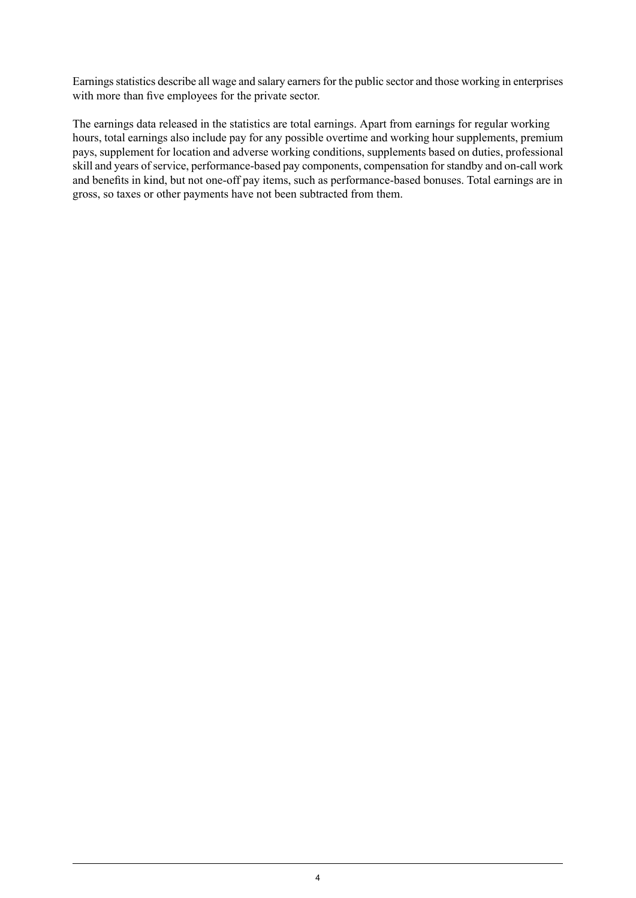Earnings statistics describe all wage and salary earners for the public sector and those working in enterprises with more than five employees for the private sector.

The earnings data released in the statistics are total earnings. Apart from earnings for regular working hours, total earnings also include pay for any possible overtime and working hour supplements, premium pays, supplement for location and adverse working conditions, supplements based on duties, professional skill and years of service, performance-based pay components, compensation for standby and on-call work and benefits in kind, but not one-off pay items, such as performance-based bonuses. Total earnings are in gross, so taxes or other payments have not been subtracted from them.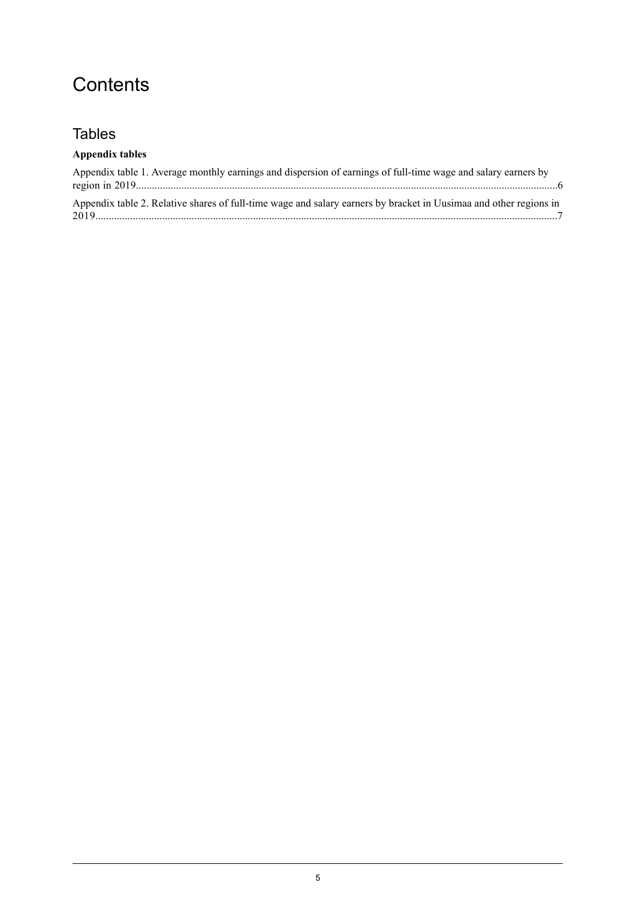## **Contents**

### **Tables**

### **Appendix tables**

| Appendix table 1. Average monthly earnings and dispersion of earnings of full-time wage and salary earners by     |  |
|-------------------------------------------------------------------------------------------------------------------|--|
| Appendix table 2. Relative shares of full-time wage and salary earners by bracket in Uusimaa and other regions in |  |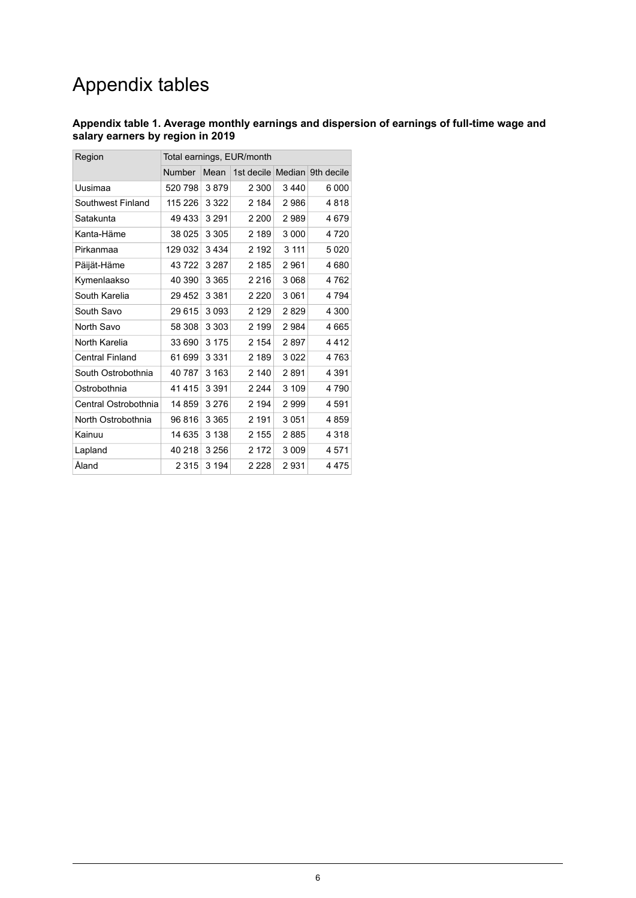## Appendix tables

### <span id="page-5-0"></span>**Appendix table 1. Average monthly earnings and dispersion of earnings of full-time wage and salary earners by region in 2019**

| Region                 | Total earnings, EUR/month |         |                   |         |            |
|------------------------|---------------------------|---------|-------------------|---------|------------|
|                        | <b>Number</b>             | Mean    | 1st decile Median |         | 9th decile |
| Uusimaa                | 520 798                   | 3879    | 2 300             | 3440    | 6 000      |
| Southwest Finland      | 115 226                   | 3 3 2 2 | 2 184             | 2986    | 4818       |
| Satakunta              | 49 433                    | 3 2 9 1 | 2 200             | 2989    | 4 679      |
| Kanta-Häme             | 38 025                    | 3 3 0 5 | 2 189             | 3 0 0 0 | 4720       |
| Pirkanmaa              | 129 032                   | 3434    | 2 192             | 3 1 1 1 | 5020       |
| Päijät-Häme            | 43722                     | 3 2 8 7 | 2 185             | 2961    | 4680       |
| Kymenlaakso            | 40 390                    | 3 3 6 5 | 2 2 1 6           | 3 0 6 8 | 4762       |
| South Karelia          | 29 452                    | 3 3 8 1 | 2 2 2 0           | 3 0 6 1 | 4 794      |
| South Savo             | 29 615                    | 3093    | 2 1 2 9           | 2829    | 4 300      |
| North Savo             | 58 308                    | 3 3 0 3 | 2 199             | 2984    | 4665       |
| North Karelia          | 33 690                    | 3 1 7 5 | 2 154             | 2897    | 4412       |
| <b>Central Finland</b> | 61 699                    | 3 3 3 1 | 2 189             | 3022    | 4763       |
| South Ostrobothnia     | 40 787                    | 3 1 6 3 | 2 140             | 2891    | 4 3 9 1    |
| Ostrobothnia           | 41415                     | 3 3 9 1 | 2 2 4 4           | 3 109   | 4790       |
| Central Ostrobothnia   | 14 859                    | 3 2 7 6 | 2 194             | 2999    | 4 591      |
| North Ostrobothnia     | 96816                     | 3 3 6 5 | 2 191             | 3 0 5 1 | 4859       |
| Kainuu                 | 14 635                    | 3 1 3 8 | 2 155             | 2885    | 4 3 1 8    |
| Lapland                | 40 218                    | 3 256   | 2 172             | 3 0 0 9 | 4571       |
| Åland                  | 2 3 1 5                   | 3 1 9 4 | 2 2 2 8           | 2931    | 4 475      |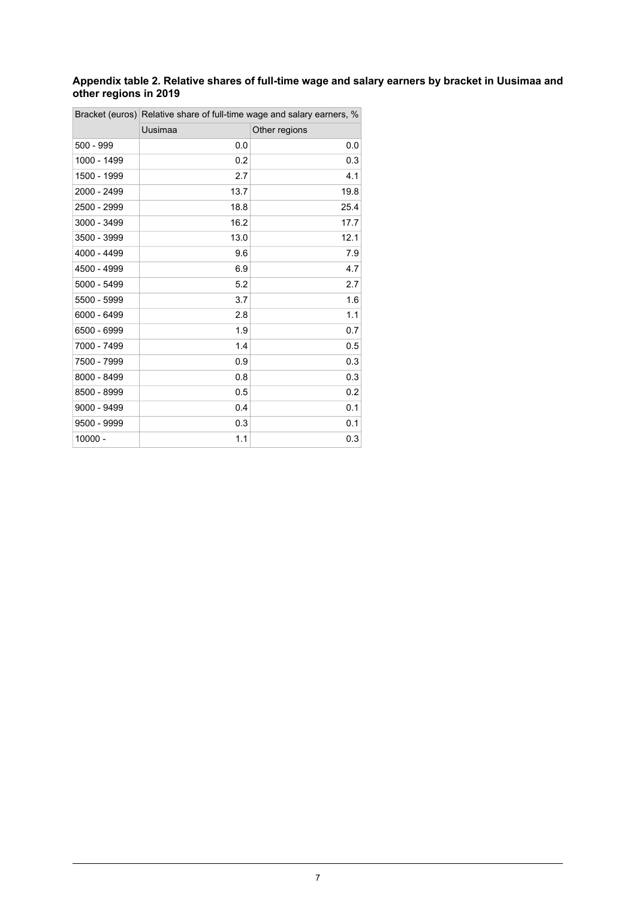### <span id="page-6-0"></span>**Appendix table 2. Relative shares of full-time wage and salary earners by bracket in Uusimaa and other regions in 2019**

|             | Bracket (euros) Relative share of full-time wage and salary earners, % |               |  |  |
|-------------|------------------------------------------------------------------------|---------------|--|--|
|             | Uusimaa                                                                | Other regions |  |  |
| 500 - 999   | 0.0                                                                    | 0.0           |  |  |
| 1000 - 1499 | 0.2                                                                    | 0.3           |  |  |
| 1500 - 1999 | 2.7                                                                    | 4.1           |  |  |
| 2000 - 2499 | 13.7                                                                   | 19.8          |  |  |
| 2500 - 2999 | 18.8                                                                   | 25.4          |  |  |
| 3000 - 3499 | 16.2                                                                   | 17.7          |  |  |
| 3500 - 3999 | 13.0                                                                   | 12.1          |  |  |
| 4000 - 4499 | 9.6                                                                    | 7.9           |  |  |
| 4500 - 4999 | 6.9                                                                    | 4.7           |  |  |
| 5000 - 5499 | 5.2                                                                    | 2.7           |  |  |
| 5500 - 5999 | 3.7                                                                    | 1.6           |  |  |
| 6000 - 6499 | 2.8                                                                    | 1.1           |  |  |
| 6500 - 6999 | 1.9                                                                    | 0.7           |  |  |
| 7000 - 7499 | 1.4                                                                    | 0.5           |  |  |
| 7500 - 7999 | 0.9                                                                    | 0.3           |  |  |
| 8000 - 8499 | 0.8                                                                    | 0.3           |  |  |
| 8500 - 8999 | 0.5                                                                    | 0.2           |  |  |
| 9000 - 9499 | 0.4                                                                    | 0.1           |  |  |
| 9500 - 9999 | 0.3                                                                    | 0.1           |  |  |
| 10000 -     | 1.1                                                                    | 0.3           |  |  |